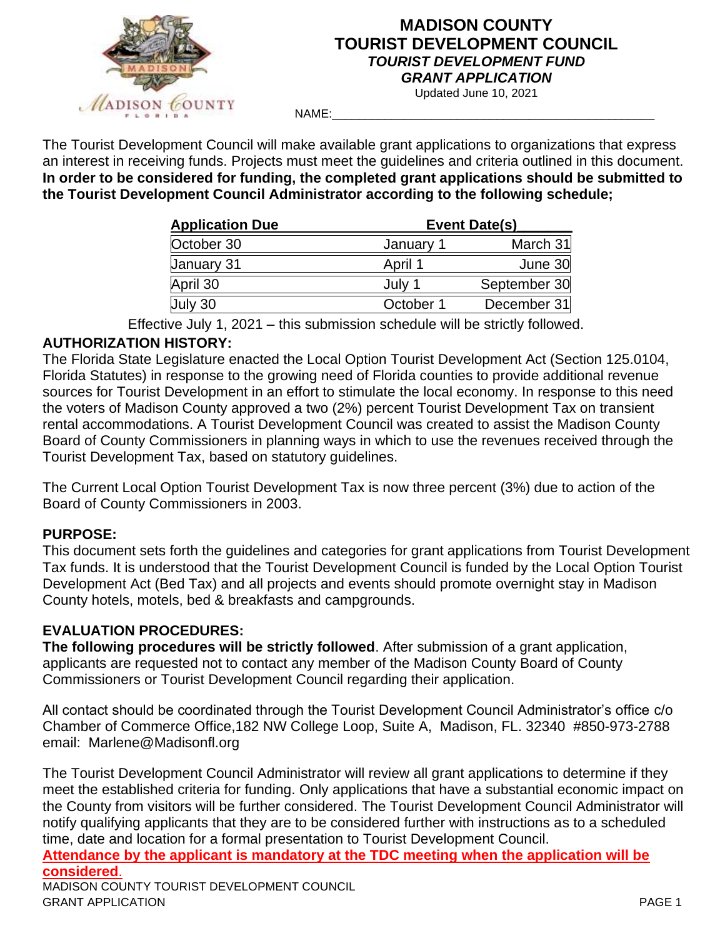

# **MADISON COUNTY TOURIST DEVELOPMENT COUNCIL** *TOURIST DEVELOPMENT FUND GRANT APPLICATION*

Updated June 10, 2021

NAME:\_\_\_\_\_\_\_\_\_\_\_\_\_\_\_\_\_\_\_\_\_\_\_\_\_\_\_\_\_\_\_\_\_\_\_\_\_\_\_\_\_\_\_\_\_\_\_\_\_

The Tourist Development Council will make available grant applications to organizations that express an interest in receiving funds. Projects must meet the guidelines and criteria outlined in this document. **In order to be considered for funding, the completed grant applications should be submitted to the Tourist Development Council Administrator according to the following schedule;**   $\mathcal{L}=\mathcal{L}$ 

| <b>Application Due</b> |           | Event Date(s) |
|------------------------|-----------|---------------|
| October 30             | January 1 | March 31      |
| January 31             | April 1   | June 30       |
| April 30               | July 1    | September 30  |
| July 30                | October 1 | December 31   |

Effective July 1, 2021 – this submission schedule will be strictly followed.

### **AUTHORIZATION HISTORY:**

The Florida State Legislature enacted the Local Option Tourist Development Act (Section 125.0104, Florida Statutes) in response to the growing need of Florida counties to provide additional revenue sources for Tourist Development in an effort to stimulate the local economy. In response to this need the voters of Madison County approved a two (2%) percent Tourist Development Tax on transient rental accommodations. A Tourist Development Council was created to assist the Madison County Board of County Commissioners in planning ways in which to use the revenues received through the Tourist Development Tax, based on statutory guidelines.

The Current Local Option Tourist Development Tax is now three percent (3%) due to action of the Board of County Commissioners in 2003.

# **PURPOSE:**

This document sets forth the guidelines and categories for grant applications from Tourist Development Tax funds. It is understood that the Tourist Development Council is funded by the Local Option Tourist Development Act (Bed Tax) and all projects and events should promote overnight stay in Madison County hotels, motels, bed & breakfasts and campgrounds.

# **EVALUATION PROCEDURES:**

**The following procedures will be strictly followed**. After submission of a grant application, applicants are requested not to contact any member of the Madison County Board of County Commissioners or Tourist Development Council regarding their application.

All contact should be coordinated through the Tourist Development Council Administrator's office c/o Chamber of Commerce Office,182 NW College Loop, Suite A, Madison, FL. 32340 #850-973-2788 email: Marlene@Madisonfl.org

The Tourist Development Council Administrator will review all grant applications to determine if they meet the established criteria for funding. Only applications that have a substantial economic impact on the County from visitors will be further considered. The Tourist Development Council Administrator will notify qualifying applicants that they are to be considered further with instructions as to a scheduled time, date and location for a formal presentation to Tourist Development Council.

**Attendance by the applicant is mandatory at the TDC meeting when the application will be considered**. MADISON COUNTY TOURIST DEVELOPMENT COUNCIL GRANT APPLICATION PAGE 1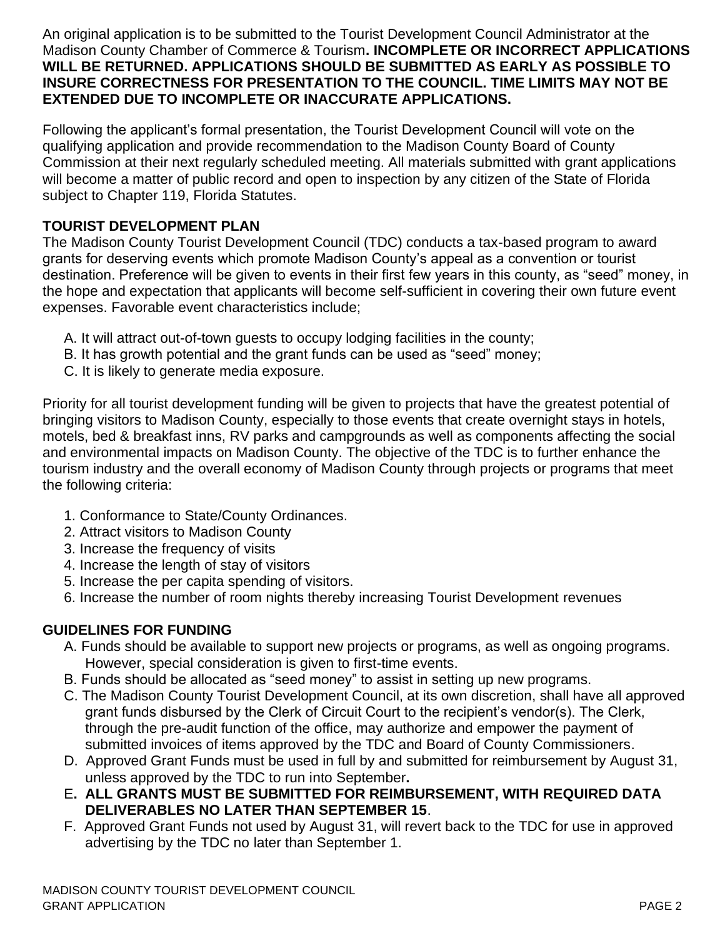An original application is to be submitted to the Tourist Development Council Administrator at the Madison County Chamber of Commerce & Tourism**. INCOMPLETE OR INCORRECT APPLICATIONS WILL BE RETURNED. APPLICATIONS SHOULD BE SUBMITTED AS EARLY AS POSSIBLE TO INSURE CORRECTNESS FOR PRESENTATION TO THE COUNCIL. TIME LIMITS MAY NOT BE EXTENDED DUE TO INCOMPLETE OR INACCURATE APPLICATIONS.** 

Following the applicant's formal presentation, the Tourist Development Council will vote on the qualifying application and provide recommendation to the Madison County Board of County Commission at their next regularly scheduled meeting. All materials submitted with grant applications will become a matter of public record and open to inspection by any citizen of the State of Florida subject to Chapter 119, Florida Statutes.

## **TOURIST DEVELOPMENT PLAN**

The Madison County Tourist Development Council (TDC) conducts a tax-based program to award grants for deserving events which promote Madison County's appeal as a convention or tourist destination. Preference will be given to events in their first few years in this county, as "seed" money, in the hope and expectation that applicants will become self-sufficient in covering their own future event expenses. Favorable event characteristics include;

- A. It will attract out-of-town guests to occupy lodging facilities in the county;
- B. It has growth potential and the grant funds can be used as "seed" money;
- C. It is likely to generate media exposure.

Priority for all tourist development funding will be given to projects that have the greatest potential of bringing visitors to Madison County, especially to those events that create overnight stays in hotels, motels, bed & breakfast inns, RV parks and campgrounds as well as components affecting the social and environmental impacts on Madison County. The objective of the TDC is to further enhance the tourism industry and the overall economy of Madison County through projects or programs that meet the following criteria:

- 1. Conformance to State/County Ordinances.
- 2. Attract visitors to Madison County
- 3. Increase the frequency of visits
- 4. Increase the length of stay of visitors
- 5. Increase the per capita spending of visitors.
- 6. Increase the number of room nights thereby increasing Tourist Development revenues

# **GUIDELINES FOR FUNDING**

- A. Funds should be available to support new projects or programs, as well as ongoing programs. However, special consideration is given to first-time events.
- B. Funds should be allocated as "seed money" to assist in setting up new programs.
- C. The Madison County Tourist Development Council, at its own discretion, shall have all approved grant funds disbursed by the Clerk of Circuit Court to the recipient's vendor(s). The Clerk, through the pre-audit function of the office, may authorize and empower the payment of submitted invoices of items approved by the TDC and Board of County Commissioners.
- D. Approved Grant Funds must be used in full by and submitted for reimbursement by August 31, unless approved by the TDC to run into September**.**
- E**. ALL GRANTS MUST BE SUBMITTED FOR REIMBURSEMENT, WITH REQUIRED DATA DELIVERABLES NO LATER THAN SEPTEMBER 15**.
- F. Approved Grant Funds not used by August 31, will revert back to the TDC for use in approved advertising by the TDC no later than September 1.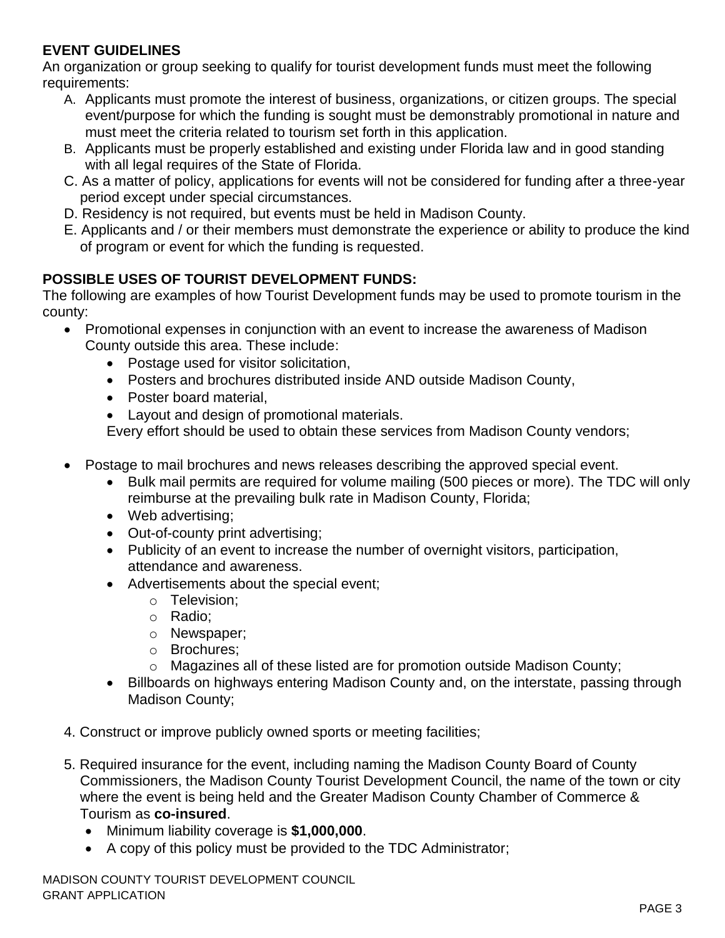# **EVENT GUIDELINES**

An organization or group seeking to qualify for tourist development funds must meet the following requirements:

- A. Applicants must promote the interest of business, organizations, or citizen groups. The special event/purpose for which the funding is sought must be demonstrably promotional in nature and must meet the criteria related to tourism set forth in this application.
- B. Applicants must be properly established and existing under Florida law and in good standing with all legal requires of the State of Florida.
- C. As a matter of policy, applications for events will not be considered for funding after a three-year period except under special circumstances.
- D. Residency is not required, but events must be held in Madison County.
- E. Applicants and / or their members must demonstrate the experience or ability to produce the kind of program or event for which the funding is requested.

# **POSSIBLE USES OF TOURIST DEVELOPMENT FUNDS:**

The following are examples of how Tourist Development funds may be used to promote tourism in the county:

- Promotional expenses in conjunction with an event to increase the awareness of Madison County outside this area. These include:
	- Postage used for visitor solicitation,
	- Posters and brochures distributed inside AND outside Madison County,
	- Poster board material,
	- Layout and design of promotional materials.

Every effort should be used to obtain these services from Madison County vendors;

- Postage to mail brochures and news releases describing the approved special event.
	- Bulk mail permits are required for volume mailing (500 pieces or more). The TDC will only reimburse at the prevailing bulk rate in Madison County, Florida;
	- Web advertising:
	- Out-of-county print advertising;
	- Publicity of an event to increase the number of overnight visitors, participation, attendance and awareness.
	- Advertisements about the special event;
		- o Television;
		- o Radio;
		- o Newspaper;
		- o Brochures;
		- $\circ$  Magazines all of these listed are for promotion outside Madison County;
	- Billboards on highways entering Madison County and, on the interstate, passing through Madison County;
- 4. Construct or improve publicly owned sports or meeting facilities;
- 5. Required insurance for the event, including naming the Madison County Board of County Commissioners, the Madison County Tourist Development Council, the name of the town or city where the event is being held and the Greater Madison County Chamber of Commerce & Tourism as **co-insured**.
	- Minimum liability coverage is **\$1,000,000**.
	- A copy of this policy must be provided to the TDC Administrator;

MADISON COUNTY TOURIST DEVELOPMENT COUNCIL GRANT APPLICATION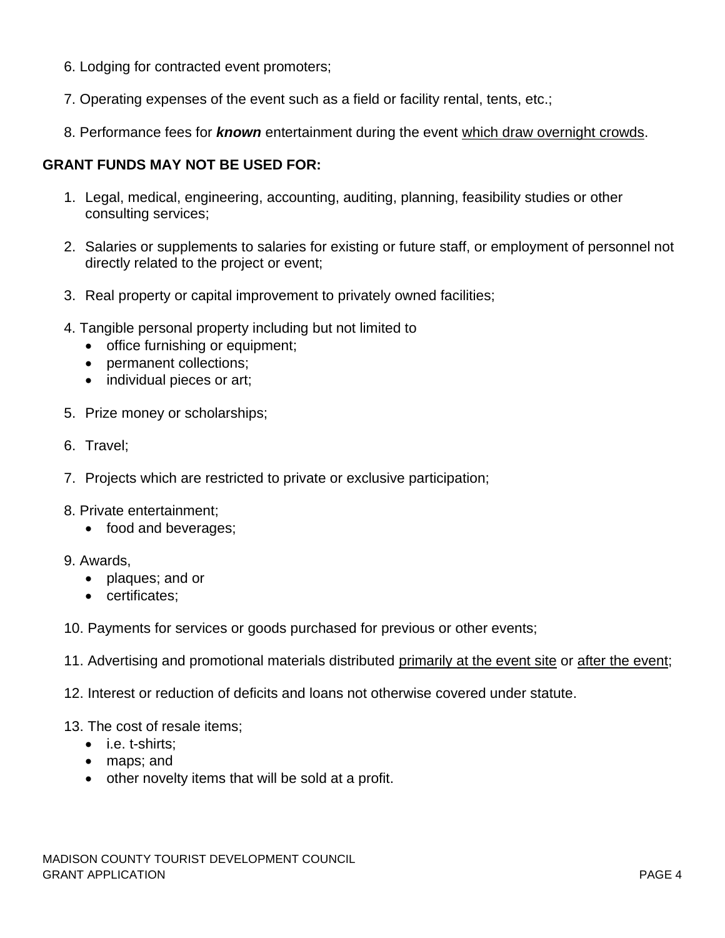- 6. Lodging for contracted event promoters;
- 7. Operating expenses of the event such as a field or facility rental, tents, etc.;
- 8. Performance fees for *known* entertainment during the event which draw overnight crowds.

### **GRANT FUNDS MAY NOT BE USED FOR:**

- 1. Legal, medical, engineering, accounting, auditing, planning, feasibility studies or other consulting services;
- 2. Salaries or supplements to salaries for existing or future staff, or employment of personnel not directly related to the project or event;
- 3. Real property or capital improvement to privately owned facilities;
- 4. Tangible personal property including but not limited to
	- office furnishing or equipment;
	- permanent collections;
	- individual pieces or art;
- 5. Prize money or scholarships;
- 6. Travel;
- 7. Projects which are restricted to private or exclusive participation;
- 8. Private entertainment;
	- food and beverages;
- 9. Awards,
	- plaques; and or
	- certificates;
- 10. Payments for services or goods purchased for previous or other events;
- 11. Advertising and promotional materials distributed primarily at the event site or after the event;
- 12. Interest or reduction of deficits and loans not otherwise covered under statute.
- 13. The cost of resale items;
	- i.e. t-shirts;
	- maps; and
	- other novelty items that will be sold at a profit.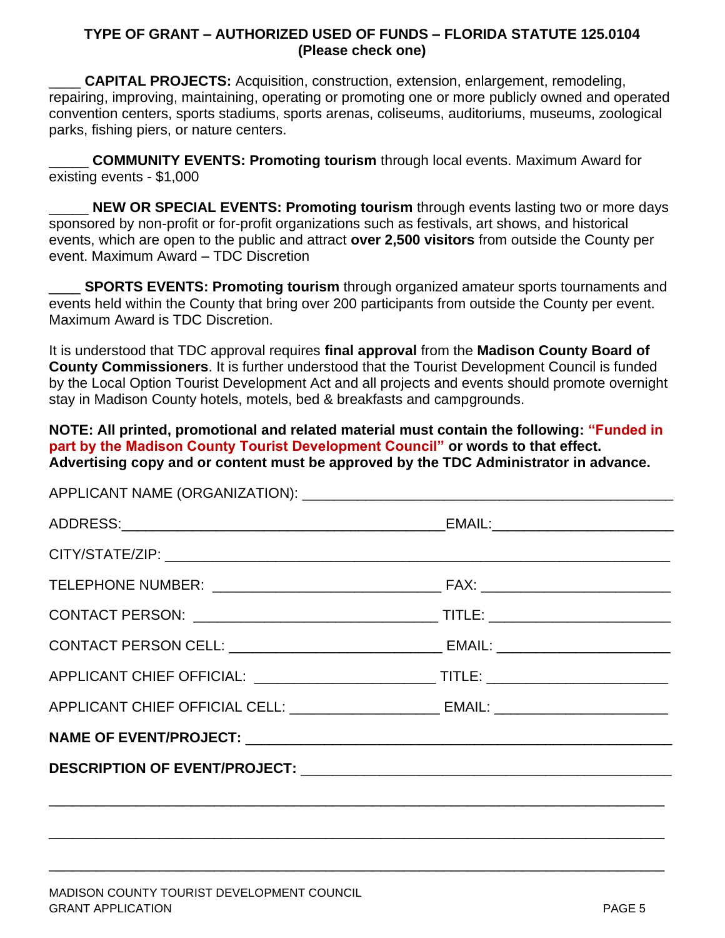#### **TYPE OF GRANT – AUTHORIZED USED OF FUNDS – FLORIDA STATUTE 125.0104 (Please check one)**

\_\_\_\_ **CAPITAL PROJECTS:** Acquisition, construction, extension, enlargement, remodeling, repairing, improving, maintaining, operating or promoting one or more publicly owned and operated convention centers, sports stadiums, sports arenas, coliseums, auditoriums, museums, zoological parks, fishing piers, or nature centers.

\_\_\_\_\_ **COMMUNITY EVENTS: Promoting tourism** through local events. Maximum Award for existing events - \$1,000

**NEW OR SPECIAL EVENTS: Promoting tourism** through events lasting two or more days sponsored by non-profit or for-profit organizations such as festivals, art shows, and historical events, which are open to the public and attract **over 2,500 visitors** from outside the County per event. Maximum Award – TDC Discretion

**SPORTS EVENTS: Promoting tourism** through organized amateur sports tournaments and events held within the County that bring over 200 participants from outside the County per event. Maximum Award is TDC Discretion.

It is understood that TDC approval requires **final approval** from the **Madison County Board of County Commissioners**. It is further understood that the Tourist Development Council is funded by the Local Option Tourist Development Act and all projects and events should promote overnight stay in Madison County hotels, motels, bed & breakfasts and campgrounds.

**NOTE: All printed, promotional and related material must contain the following: "Funded in part by the Madison County Tourist Development Council" or words to that effect. Advertising copy and or content must be approved by the TDC Administrator in advance.** 

| APPLICANT CHIEF OFFICIAL CELL: _______________________ EMAIL: __________________ |  |
|----------------------------------------------------------------------------------|--|
|                                                                                  |  |
|                                                                                  |  |
|                                                                                  |  |

\_\_\_\_\_\_\_\_\_\_\_\_\_\_\_\_\_\_\_\_\_\_\_\_\_\_\_\_\_\_\_\_\_\_\_\_\_\_\_\_\_\_\_\_\_\_\_\_\_\_\_\_\_\_\_\_\_\_\_\_\_\_\_\_\_\_\_\_\_\_\_\_\_\_\_\_\_\_

\_\_\_\_\_\_\_\_\_\_\_\_\_\_\_\_\_\_\_\_\_\_\_\_\_\_\_\_\_\_\_\_\_\_\_\_\_\_\_\_\_\_\_\_\_\_\_\_\_\_\_\_\_\_\_\_\_\_\_\_\_\_\_\_\_\_\_\_\_\_\_\_\_\_\_\_\_\_

ADDLICANIT NIAME (ODCANIIZATIONI):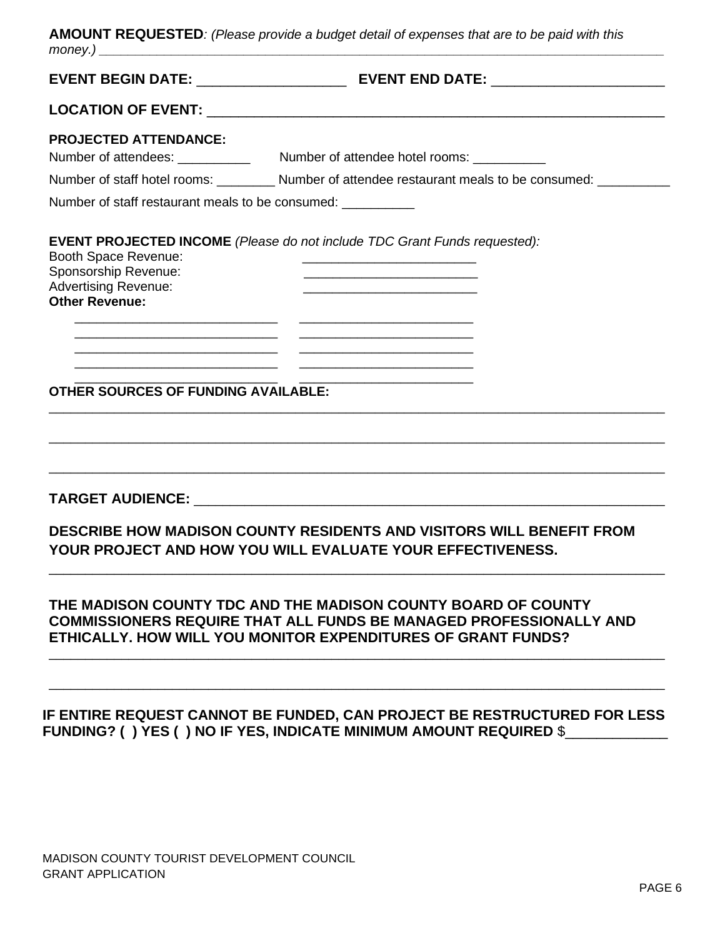| AMOUNT REQUESTED: (Please provide a budget detail of expenses that are to be paid with this |  |
|---------------------------------------------------------------------------------------------|--|
| money.)                                                                                     |  |

| <b>PROJECTED ATTENDANCE:</b>                                                                                                                                                                             |                                                                                                                                                                                                                                                                        |
|----------------------------------------------------------------------------------------------------------------------------------------------------------------------------------------------------------|------------------------------------------------------------------------------------------------------------------------------------------------------------------------------------------------------------------------------------------------------------------------|
|                                                                                                                                                                                                          | Number of staff hotel rooms: __________ Number of attendee restaurant meals to be consumed: ________                                                                                                                                                                   |
| Number of staff restaurant meals to be consumed:                                                                                                                                                         |                                                                                                                                                                                                                                                                        |
| <b>Booth Space Revenue:</b><br>Sponsorship Revenue:<br><b>Advertising Revenue:</b><br><b>Other Revenue:</b><br>the control of the control of the control of the control of the control of the control of | <b>EVENT PROJECTED INCOME</b> (Please do not include TDC Grant Funds requested):<br><u> 1980 - Johann Barbara, martin amerikan basar dan berasal dalam basar dalam basar dalam basar dalam basar dala</u><br><u> 1989 - Andrea Stadt Britain, amerikansk politik (</u> |
|                                                                                                                                                                                                          | <u> 1989 - Johann Harry Harry Harry Harry Harry Harry Harry Harry Harry Harry Harry Harry Harry Harry Harry Harry</u><br><u> 1989 - Johann Stoff, Amerikaansk politiker (* 1908)</u>                                                                                   |
| <u> 1989 - Johann Harry Barn, margaret amerikan basal dan berkembang dan berkembang dan berkembang dan berkembang </u><br><b>OTHER SOURCES OF FUNDING AVAILABLE:</b>                                     |                                                                                                                                                                                                                                                                        |
|                                                                                                                                                                                                          |                                                                                                                                                                                                                                                                        |
|                                                                                                                                                                                                          | <b>DESCRIBE HOW MADISON COUNTY RESIDENTS AND VISITORS WILL BENEFIT FROM</b><br>YOUR PROJECT AND HOW YOU WILL EVALUATE YOUR EFFECTIVENESS.                                                                                                                              |

## **IF ENTIRE REQUEST CANNOT BE FUNDED, CAN PROJECT BE RESTRUCTURED FOR LESS FUNDING? ( ) YES ( ) NO IF YES, INDICATE MINIMUM AMOUNT REQUIRED** \$\_\_\_\_\_\_\_\_\_\_\_\_\_

MADISON COUNTY TOURIST DEVELOPMENT COUNCIL GRANT APPLICATION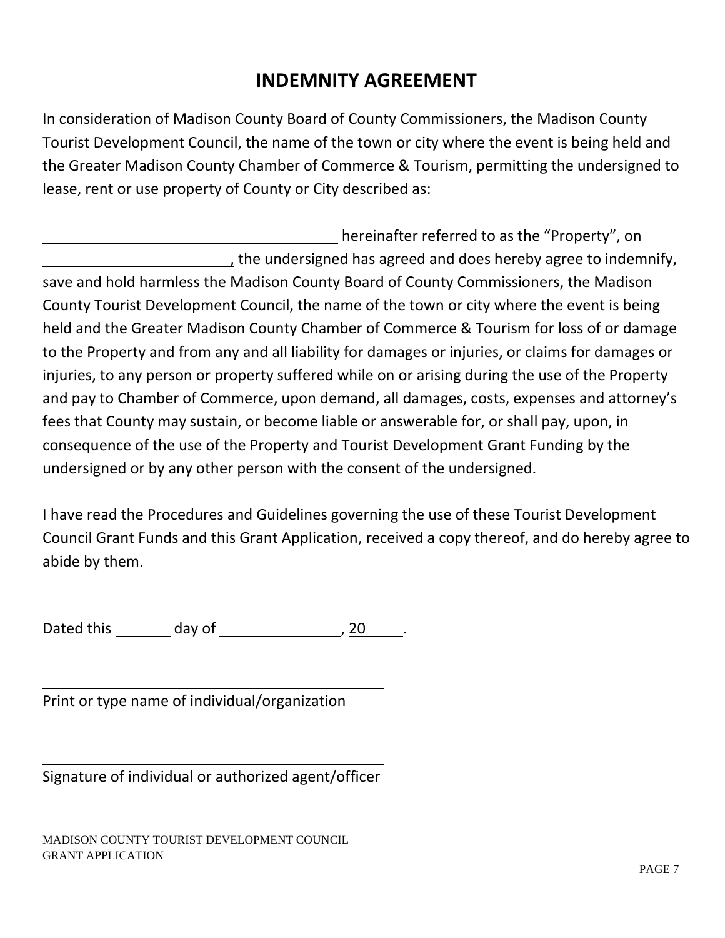# **INDEMNITY AGREEMENT**

In consideration of Madison County Board of County Commissioners, the Madison County Tourist Development Council, the name of the town or city where the event is being held and the Greater Madison County Chamber of Commerce & Tourism, permitting the undersigned to lease, rent or use property of County or City described as:

hereinafter referred to as the "Property", on <sub>t</sub> the undersigned has agreed and does hereby agree to indemnify, save and hold harmless the Madison County Board of County Commissioners, the Madison County Tourist Development Council, the name of the town or city where the event is being held and the Greater Madison County Chamber of Commerce & Tourism for loss of or damage to the Property and from any and all liability for damages or injuries, or claims for damages or injuries, to any person or property suffered while on or arising during the use of the Property and pay to Chamber of Commerce, upon demand, all damages, costs, expenses and attorney's fees that County may sustain, or become liable or answerable for, or shall pay, upon, in consequence of the use of the Property and Tourist Development Grant Funding by the undersigned or by any other person with the consent of the undersigned.

I have read the Procedures and Guidelines governing the use of these Tourist Development Council Grant Funds and this Grant Application, received a copy thereof, and do hereby agree to abide by them.

Dated this day of the same set of the set of the set of the set of the set of the set of the set of the set of the set of the set of the set of the set of the set of the set of the set of the set of the set of the set of t

Print or type name of individual/organization

Signature of individual or authorized agent/officer

MADISON COUNTY TOURIST DEVELOPMENT COUNCIL GRANT APPLICATION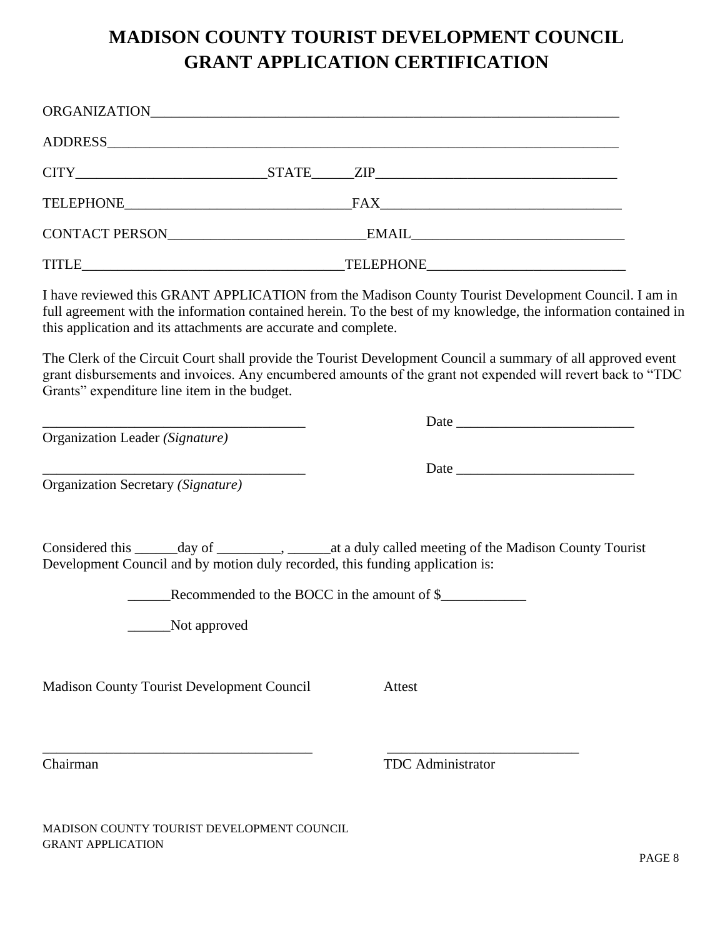# **MADISON COUNTY TOURIST DEVELOPMENT COUNCIL GRANT APPLICATION CERTIFICATION**

|                                                                                               | ADDRESS ADDRESS                                                                                                                                                                                                             |
|-----------------------------------------------------------------------------------------------|-----------------------------------------------------------------------------------------------------------------------------------------------------------------------------------------------------------------------------|
|                                                                                               |                                                                                                                                                                                                                             |
|                                                                                               |                                                                                                                                                                                                                             |
|                                                                                               |                                                                                                                                                                                                                             |
|                                                                                               |                                                                                                                                                                                                                             |
| this application and its attachments are accurate and complete.                               | I have reviewed this GRANT APPLICATION from the Madison County Tourist Development Council. I am in<br>full agreement with the information contained herein. To the best of my knowledge, the information contained in      |
| Grants" expenditure line item in the budget.                                                  | The Clerk of the Circuit Court shall provide the Tourist Development Council a summary of all approved event<br>grant disbursements and invoices. Any encumbered amounts of the grant not expended will revert back to "TDC |
|                                                                                               |                                                                                                                                                                                                                             |
| Organization Leader (Signature)                                                               |                                                                                                                                                                                                                             |
| Organization Secretary (Signature)                                                            |                                                                                                                                                                                                                             |
| Development Council and by motion duly recorded, this funding application is:<br>Not approved | Considered this ______ day of _________, ______ at a duly called meeting of the Madison County Tourist<br>Recommended to the BOCC in the amount of \$                                                                       |
|                                                                                               |                                                                                                                                                                                                                             |
| Madison County Tourist Development Council                                                    | Attest                                                                                                                                                                                                                      |
| Chairman                                                                                      | <b>TDC</b> Administrator                                                                                                                                                                                                    |
| MADISON COUNTY TOURIST DEVELOPMENT COUNCIL                                                    |                                                                                                                                                                                                                             |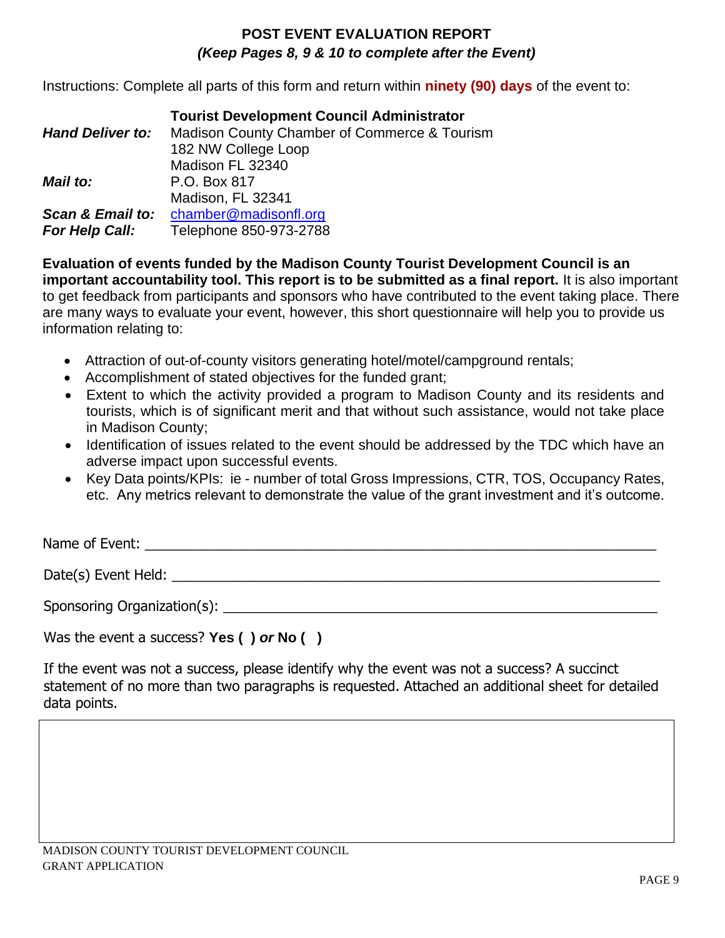# **POST EVENT EVALUATION REPORT** *(Keep Pages 8, 9 & 10 to complete after the Event)*

Instructions: Complete all parts of this form and return within **ninety (90) days** of the event to:

|                         | <b>Tourist Development Council Administrator</b> |
|-------------------------|--------------------------------------------------|
| <b>Hand Deliver to:</b> | Madison County Chamber of Commerce & Tourism     |
|                         | 182 NW College Loop                              |
|                         | Madison FL 32340                                 |
| <b>Mail to:</b>         | P.O. Box 817                                     |
|                         | Madison, FL 32341                                |
| Scan & Email to:        | chamber@madisonfl.org                            |
| <b>For Help Call:</b>   | Telephone 850-973-2788                           |

**Evaluation of events funded by the Madison County Tourist Development Council is an important accountability tool. This report is to be submitted as a final report.** It is also important to get feedback from participants and sponsors who have contributed to the event taking place. There are many ways to evaluate your event, however, this short questionnaire will help you to provide us information relating to:

- Attraction of out-of-county visitors generating hotel/motel/campground rentals;
- Accomplishment of stated objectives for the funded grant;
- Extent to which the activity provided a program to Madison County and its residents and tourists, which is of significant merit and that without such assistance, would not take place in Madison County;
- Identification of issues related to the event should be addressed by the TDC which have an adverse impact upon successful events.
- Key Data points/KPIs: ie number of total Gross Impressions, CTR, TOS, Occupancy Rates, etc. Any metrics relevant to demonstrate the value of the grant investment and it's outcome.

Name of Event: \_\_\_\_\_\_\_\_\_\_\_\_\_\_\_\_\_\_\_\_\_\_\_\_\_\_\_\_\_\_\_\_\_\_\_\_\_\_\_\_\_\_\_\_\_\_\_\_\_\_\_\_\_\_\_\_\_\_\_\_\_\_\_\_\_\_

Date(s) Event Held: \_\_\_\_\_\_\_\_\_\_\_\_\_\_\_\_\_\_\_\_\_\_\_\_\_\_\_\_\_\_\_\_\_\_\_\_\_\_\_\_\_\_\_\_\_\_\_\_\_\_\_\_\_\_\_\_\_\_\_\_\_\_\_

Sponsoring Organization(s):  $\Box$ 

Was the event a success? **Yes ( )** *or* **No ( )**

If the event was not a success, please identify why the event was not a success? A succinct statement of no more than two paragraphs is requested. Attached an additional sheet for detailed data points.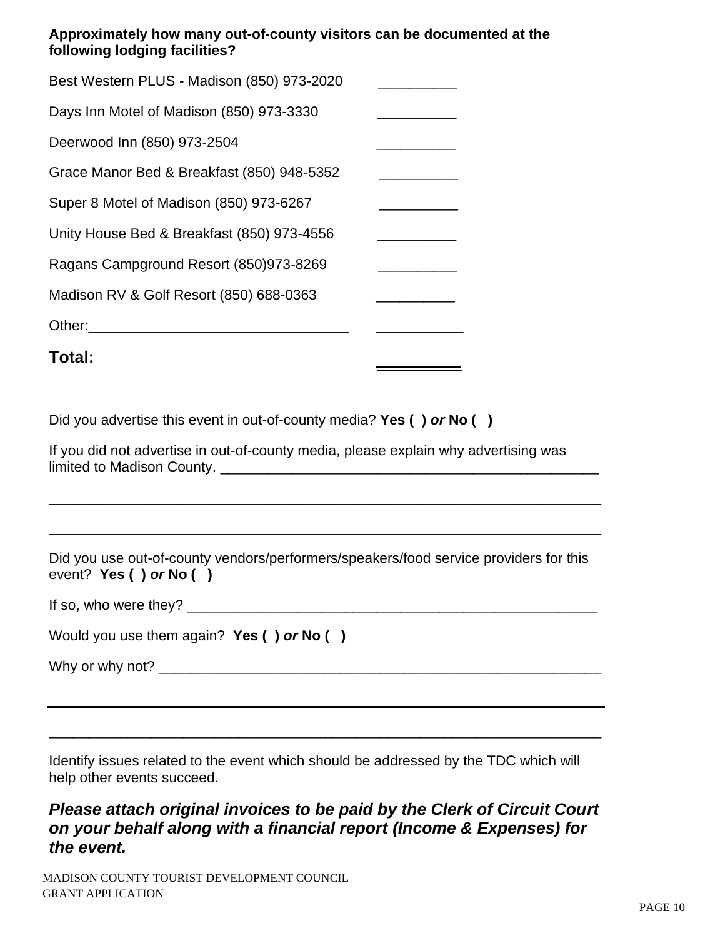## **Approximately how many out-of-county visitors can be documented at the following lodging facilities?**

| Total:                                     |  |
|--------------------------------------------|--|
| Other:                                     |  |
| Madison RV & Golf Resort (850) 688-0363    |  |
| Ragans Campground Resort (850)973-8269     |  |
| Unity House Bed & Breakfast (850) 973-4556 |  |
| Super 8 Motel of Madison (850) 973-6267    |  |
| Grace Manor Bed & Breakfast (850) 948-5352 |  |
| Deerwood Inn (850) 973-2504                |  |
| Days Inn Motel of Madison (850) 973-3330   |  |
| Best Western PLUS - Madison (850) 973-2020 |  |

Did you advertise this event in out-of-county media? **Yes ( )** *or* **No ( )**

| If you did not advertise in out-of-county media, please explain why advertising was |  |
|-------------------------------------------------------------------------------------|--|
| limited to Madison County.                                                          |  |

Did you use out-of-county vendors/performers/speakers/food service providers for this event? **Yes ( )** *or* **No ( )**

\_\_\_\_\_\_\_\_\_\_\_\_\_\_\_\_\_\_\_\_\_\_\_\_\_\_\_\_\_\_\_\_\_\_\_\_\_\_\_\_\_\_\_\_\_\_\_\_\_\_\_\_\_\_\_\_\_\_\_\_\_\_\_\_\_\_\_\_\_\_

\_\_\_\_\_\_\_\_\_\_\_\_\_\_\_

\_\_\_\_\_\_\_\_\_\_\_\_\_\_\_\_\_\_\_\_\_\_\_\_\_\_\_\_\_\_\_\_\_\_\_\_\_\_\_\_\_\_\_\_\_\_\_\_\_\_\_\_\_\_\_\_\_\_\_\_\_\_\_\_\_\_\_\_\_\_

If so, who were they? \_\_\_\_\_\_\_\_\_\_\_\_\_\_\_\_\_\_\_\_\_\_\_\_\_\_\_\_\_\_\_\_\_\_\_\_\_\_\_\_\_\_\_\_\_\_\_\_\_\_\_\_

| Would you use them again? Yes $( )$ or No $( )$ |  |  |
|-------------------------------------------------|--|--|
|                                                 |  |  |

Why or why not? \_\_\_\_\_\_\_\_\_\_\_\_\_\_\_\_\_\_\_\_\_\_\_\_\_\_\_\_\_\_\_\_\_\_\_\_\_\_\_\_\_\_\_\_\_\_\_\_\_\_\_\_\_\_\_\_

Identify issues related to the event which should be addressed by the TDC which will help other events succeed.

\_\_\_\_\_\_\_\_\_\_\_\_\_\_\_\_\_\_\_\_\_\_\_\_\_\_\_\_\_\_\_\_\_\_\_\_\_\_\_\_\_\_\_\_\_\_\_\_\_\_\_\_\_\_\_\_\_\_\_\_\_\_\_\_\_\_\_\_\_\_

# *Please attach original invoices to be paid by the Clerk of Circuit Court on your behalf along with a financial report (Income & Expenses) for the event.*